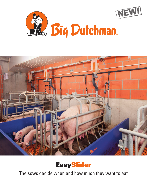





The sows decide when and how much they want to eat